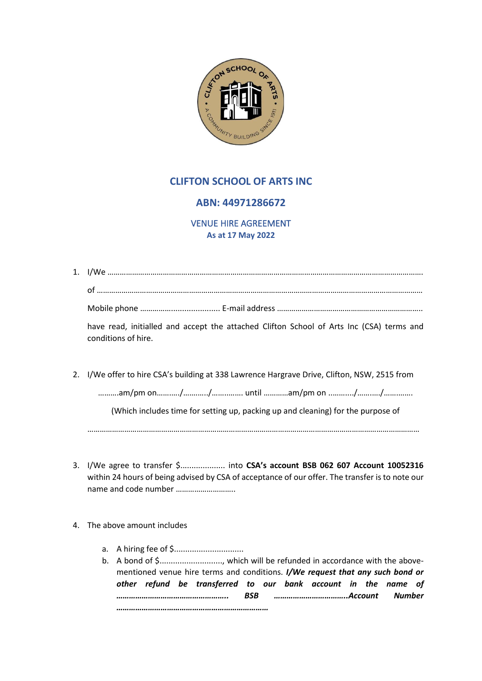

# **CLIFTON SCHOOL OF ARTS INC**

## **ABN: 44971286672**

VENUE HIRE AGREEMENT **As at 17 May 2022**

| have read, initialled and accept the attached Clifton School of Arts Inc (CSA) terms and<br>conditions of hire. |
|-----------------------------------------------------------------------------------------------------------------|
| 2. I/We offer to hire CSA's building at 338 Lawrence Hargrave Drive, Clifton, NSW, 2515 from                    |
|                                                                                                                 |
| (Which includes time for setting up, packing up and cleaning) for the purpose of                                |

………………………………………………………………………………………………………………………………………………

- 3. I/We agree to transfer \$.................... into **CSA's account BSB 062 607 Account 10052316** within 24 hours of being advised by CSA of acceptance of our offer. The transfer is to note our name and code number ………………………..
- 4. The above amount includes
	- a. A hiring fee of \$...............................
	- b. A bond of \$............................, which will be refunded in accordance with the abovementioned venue hire terms and conditions. *I/We request that any such bond or other refund be transferred to our bank account in the name of …………………………………………….. BSB ……………………………..Account Number ………………………………………………………………*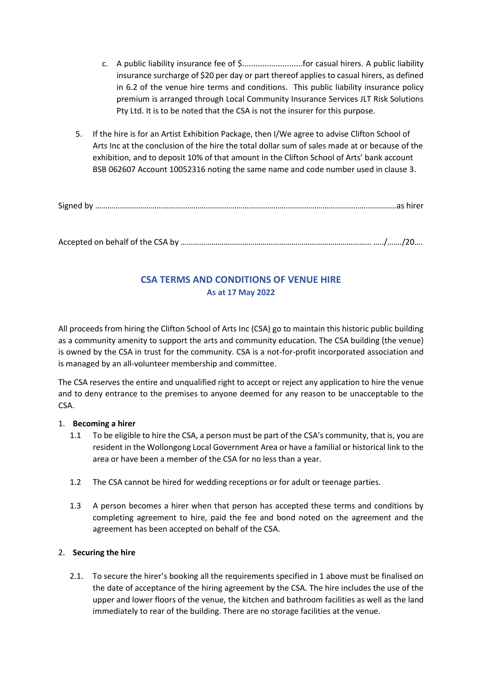- c. A public liability insurance fee of \$...........................for casual hirers. A public liability insurance surcharge of \$20 per day or part thereof applies to casual hirers, as defined in 6.2 of the venue hire terms and conditions. This public liability insurance policy premium is arranged through Local Community Insurance Services JLT Risk Solutions Pty Ltd. It is to be noted that the CSA is not the insurer for this purpose.
- 5. If the hire is for an Artist Exhibition Package, then I/We agree to advise Clifton School of Arts Inc at the conclusion of the hire the total dollar sum of sales made at or because of the exhibition, and to deposit 10% of that amount in the Clifton School of Arts' bank account BSB 062607 Account 10052316 noting the same name and code number used in clause 3.

Signed by …………………………………………………………………………………………………………………………………as hirer

Accepted on behalf of the CSA by ………………………………………………………………………………… …../……./20….

# **CSA TERMS AND CONDITIONS OF VENUE HIRE As at 17 May 2022**

All proceeds from hiring the Clifton School of Arts Inc (CSA) go to maintain this historic public building as a community amenity to support the arts and community education. The CSA building (the venue) is owned by the CSA in trust for the community. CSA is a not-for-profit incorporated association and is managed by an all-volunteer membership and committee.

The CSA reserves the entire and unqualified right to accept or reject any application to hire the venue and to deny entrance to the premises to anyone deemed for any reason to be unacceptable to the CSA.

#### 1. **Becoming a hirer**

- 1.1 To be eligible to hire the CSA, a person must be part of the CSA's community, that is, you are resident in the Wollongong Local Government Area or have a familial or historical link to the area or have been a member of the CSA for no less than a year.
- 1.2 The CSA cannot be hired for wedding receptions or for adult or teenage parties.
- 1.3 A person becomes a hirer when that person has accepted these terms and conditions by completing agreement to hire, paid the fee and bond noted on the agreement and the agreement has been accepted on behalf of the CSA.

### 2. **Securing the hire**

2.1. To secure the hirer's booking all the requirements specified in 1 above must be finalised on the date of acceptance of the hiring agreement by the CSA. The hire includes the use of the upper and lower floors of the venue, the kitchen and bathroom facilities as well as the land immediately to rear of the building. There are no storage facilities at the venue.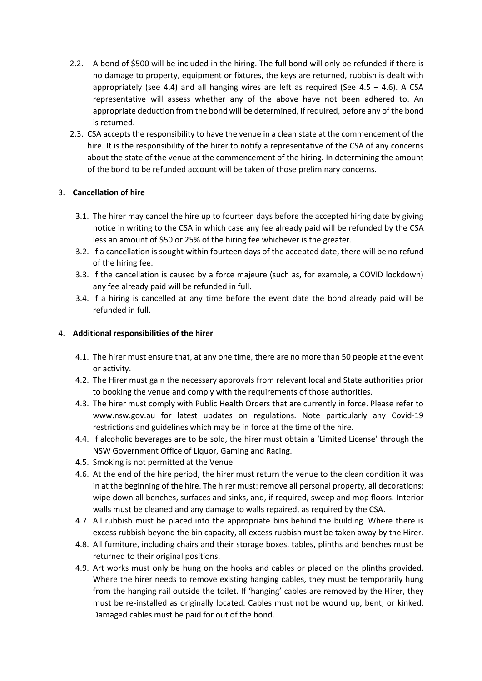- 2.2. A bond of \$500 will be included in the hiring. The full bond will only be refunded if there is no damage to property, equipment or fixtures, the keys are returned, rubbish is dealt with appropriately (see 4.4) and all hanging wires are left as required (See  $4.5 - 4.6$ ). A CSA representative will assess whether any of the above have not been adhered to. An appropriate deduction from the bond will be determined, if required, before any of the bond is returned.
- 2.3. CSA accepts the responsibility to have the venue in a clean state at the commencement of the hire. It is the responsibility of the hirer to notify a representative of the CSA of any concerns about the state of the venue at the commencement of the hiring. In determining the amount of the bond to be refunded account will be taken of those preliminary concerns.

### 3. **Cancellation of hire**

- 3.1. The hirer may cancel the hire up to fourteen days before the accepted hiring date by giving notice in writing to the CSA in which case any fee already paid will be refunded by the CSA less an amount of \$50 or 25% of the hiring fee whichever is the greater.
- 3.2. If a cancellation is sought within fourteen days of the accepted date, there will be no refund of the hiring fee.
- 3.3. If the cancellation is caused by a force majeure (such as, for example, a COVID lockdown) any fee already paid will be refunded in full.
- 3.4. If a hiring is cancelled at any time before the event date the bond already paid will be refunded in full.

### 4. **Additional responsibilities of the hirer**

- 4.1. The hirer must ensure that, at any one time, there are no more than 50 people at the event or activity.
- 4.2. The Hirer must gain the necessary approvals from relevant local and State authorities prior to booking the venue and comply with the requirements of those authorities.
- 4.3. The hirer must comply with Public Health Orders that are currently in force. Please refer to www.nsw.gov.au for latest updates on regulations. Note particularly any Covid-19 restrictions and guidelines which may be in force at the time of the hire.
- 4.4. If alcoholic beverages are to be sold, the hirer must obtain a 'Limited License' through the NSW Government Office of Liquor, Gaming and Racing.
- 4.5. Smoking is not permitted at the Venue
- 4.6. At the end of the hire period, the hirer must return the venue to the clean condition it was in at the beginning of the hire. The hirer must: remove all personal property, all decorations; wipe down all benches, surfaces and sinks, and, if required, sweep and mop floors. Interior walls must be cleaned and any damage to walls repaired, as required by the CSA.
- 4.7. All rubbish must be placed into the appropriate bins behind the building. Where there is excess rubbish beyond the bin capacity, all excess rubbish must be taken away by the Hirer.
- 4.8. All furniture, including chairs and their storage boxes, tables, plinths and benches must be returned to their original positions.
- 4.9. Art works must only be hung on the hooks and cables or placed on the plinths provided. Where the hirer needs to remove existing hanging cables, they must be temporarily hung from the hanging rail outside the toilet. If 'hanging' cables are removed by the Hirer, they must be re-installed as originally located. Cables must not be wound up, bent, or kinked. Damaged cables must be paid for out of the bond.